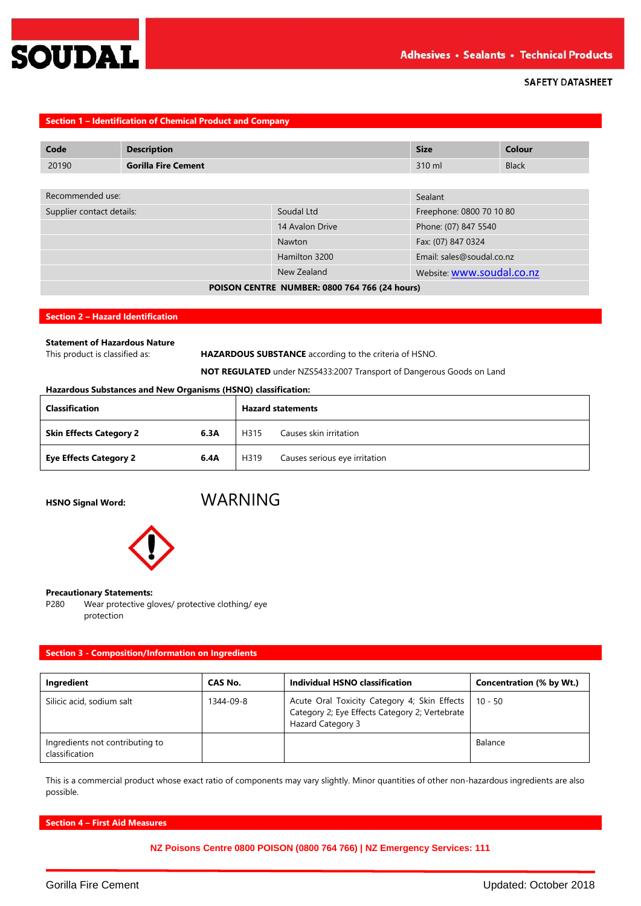

# **Section 1 – Identification of Chemical Product and Company**

| Code                      | <b>Description</b>                            |                 | <b>Size</b>               | Colour       |
|---------------------------|-----------------------------------------------|-----------------|---------------------------|--------------|
| 20190                     | <b>Gorilla Fire Cement</b>                    |                 | 310 ml                    | <b>Black</b> |
|                           |                                               |                 |                           |              |
| Recommended use:          |                                               |                 | Sealant                   |              |
| Supplier contact details: |                                               | Soudal Ltd      | Freephone: 0800 70 10 80  |              |
|                           |                                               | 14 Avalon Drive | Phone: (07) 847 5540      |              |
|                           |                                               | Nawton          | Fax: (07) 847 0324        |              |
|                           |                                               | Hamilton 3200   | Email: sales@soudal.co.nz |              |
|                           |                                               | New Zealand     | Website: www.soudal.co.nz |              |
|                           | POISON CENTRE NUMBER: 0800 764 766 (24 hours) |                 |                           |              |

#### **Section 2 – Hazard Identification**

# **Statement of Hazardous Nature**

This product is classified as: **HAZARDOUS SUBSTANCE** according to the criteria of HSNO.

**NOT REGULATED** under NZS5433:2007 Transport of Dangerous Goods on Land

### **Hazardous Substances and New Organisms (HSNO) classification:**

| <b>Classification</b>          |      | <b>Hazard statements</b> |                               |  |
|--------------------------------|------|--------------------------|-------------------------------|--|
| <b>Skin Effects Category 2</b> | 6.3A | H315                     | Causes skin irritation        |  |
| <b>Eye Effects Category 2</b>  | 6.4A | H319                     | Causes serious eye irritation |  |

# **HSNO Signal Word:** WARNING



#### **Precautionary Statements:**

P280 Wear protective gloves/ protective clothing/ eye protection

# **Section 3 - Composition/Information on Ingredients**

| Ingredient                                        | CAS No.   | Individual HSNO classification                                                                                      | Concentration (% by Wt.) |
|---------------------------------------------------|-----------|---------------------------------------------------------------------------------------------------------------------|--------------------------|
| Silicic acid, sodium salt                         | 1344-09-8 | Acute Oral Toxicity Category 4; Skin Effects<br>Category 2; Eye Effects Category 2; Vertebrate<br>Hazard Category 3 | $110 - 50$               |
| Ingredients not contributing to<br>classification |           |                                                                                                                     | Balance                  |

This is a commercial product whose exact ratio of components may vary slightly. Minor quantities of other non-hazardous ingredients are also possible.

**Section 4 – First Aid Measures**

**NZ Poisons Centre 0800 POISON (0800 764 766) | NZ Emergency Services: 111**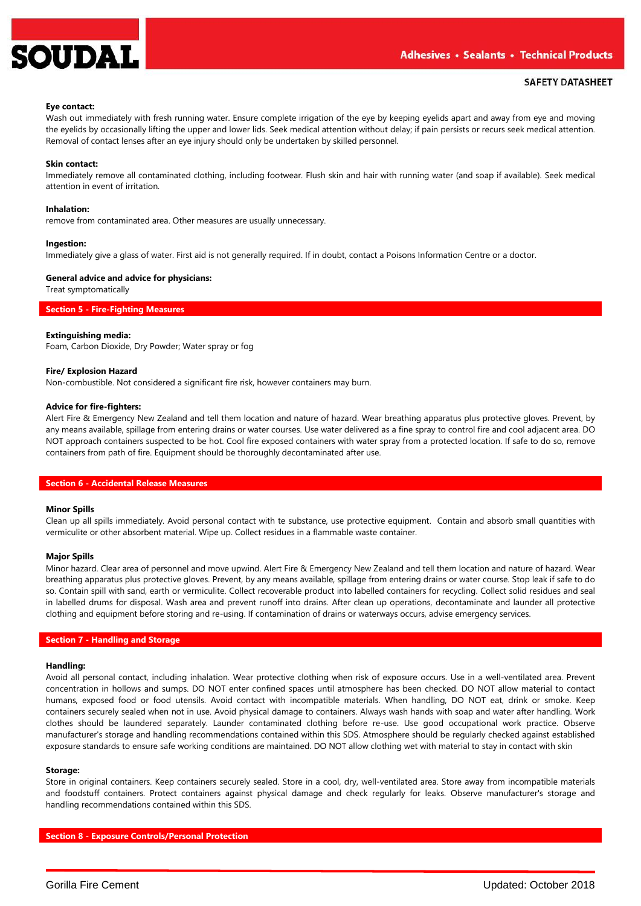

#### **Eye contact:**

Wash out immediately with fresh running water. Ensure complete irrigation of the eye by keeping eyelids apart and away from eye and moving the eyelids by occasionally lifting the upper and lower lids. Seek medical attention without delay; if pain persists or recurs seek medical attention. Removal of contact lenses after an eye injury should only be undertaken by skilled personnel.

#### **Skin contact:**

Immediately remove all contaminated clothing, including footwear. Flush skin and hair with running water (and soap if available). Seek medical attention in event of irritation.

### **Inhalation:**

remove from contaminated area. Other measures are usually unnecessary.

#### **Ingestion:**

Immediately give a glass of water. First aid is not generally required. If in doubt, contact a Poisons Information Centre or a doctor.

### **General advice and advice for physicians:**

Treat symptomatically

#### **Section 5 - Fire-Fighting Measures**

#### **Extinguishing media:**

Foam, Carbon Dioxide, Dry Powder; Water spray or fog

#### **Fire/ Explosion Hazard**

Non-combustible. Not considered a significant fire risk, however containers may burn.

#### **Advice for fire-fighters:**

Alert Fire & Emergency New Zealand and tell them location and nature of hazard. Wear breathing apparatus plus protective gloves. Prevent, by any means available, spillage from entering drains or water courses. Use water delivered as a fine spray to control fire and cool adjacent area. DO NOT approach containers suspected to be hot. Cool fire exposed containers with water spray from a protected location. If safe to do so, remove containers from path of fire. Equipment should be thoroughly decontaminated after use.

#### **Section 6 - Accidental Release Measures**

#### **Minor Spills**

Clean up all spills immediately. Avoid personal contact with te substance, use protective equipment. Contain and absorb small quantities with vermiculite or other absorbent material. Wipe up. Collect residues in a flammable waste container.

#### **Major Spills**

Minor hazard. Clear area of personnel and move upwind. Alert Fire & Emergency New Zealand and tell them location and nature of hazard. Wear breathing apparatus plus protective gloves. Prevent, by any means available, spillage from entering drains or water course. Stop leak if safe to do so. Contain spill with sand, earth or vermiculite. Collect recoverable product into labelled containers for recycling. Collect solid residues and seal in labelled drums for disposal. Wash area and prevent runoff into drains. After clean up operations, decontaminate and launder all protective clothing and equipment before storing and re-using. If contamination of drains or waterways occurs, advise emergency services.

### **Section 7 - Handling and Storage**

#### **Handling:**

Avoid all personal contact, including inhalation. Wear protective clothing when risk of exposure occurs. Use in a well-ventilated area. Prevent concentration in hollows and sumps. DO NOT enter confined spaces until atmosphere has been checked. DO NOT allow material to contact humans, exposed food or food utensils. Avoid contact with incompatible materials. When handling, DO NOT eat, drink or smoke. Keep containers securely sealed when not in use. Avoid physical damage to containers. Always wash hands with soap and water after handling. Work clothes should be laundered separately. Launder contaminated clothing before re-use. Use good occupational work practice. Observe manufacturer's storage and handling recommendations contained within this SDS. Atmosphere should be regularly checked against established exposure standards to ensure safe working conditions are maintained. DO NOT allow clothing wet with material to stay in contact with skin

### **Storage:**

Store in original containers. Keep containers securely sealed. Store in a cool, dry, well-ventilated area. Store away from incompatible materials and foodstuff containers. Protect containers against physical damage and check regularly for leaks. Observe manufacturer's storage and handling recommendations contained within this SDS.

**Section 8 - Exposure Controls/Personal Protection**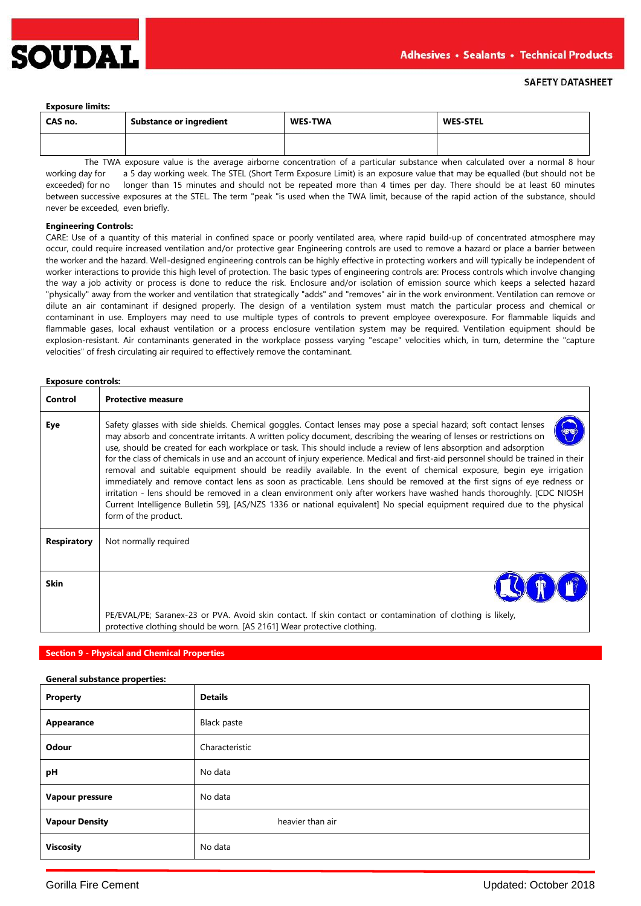

#### **Exposure limits:**

| CAS no. | <b>Substance or ingredient</b> | <b>WES-TWA</b> | <b>WES-STEL</b> |
|---------|--------------------------------|----------------|-----------------|
|         |                                |                |                 |

The TWA exposure value is the average airborne concentration of a particular substance when calculated over a normal 8 hour working day for a 5 day working week. The STEL (Short Term Exposure Limit) is an exposure value that may be equalled (but should not be exceeded) for no longer than 15 minutes and should not be repeated more than 4 times per day. There should be at least 60 minutes between successive exposures at the STEL. The term "peak "is used when the TWA limit, because of the rapid action of the substance, should never be exceeded, even briefly.

#### **Engineering Controls:**

CARE: Use of a quantity of this material in confined space or poorly ventilated area, where rapid build-up of concentrated atmosphere may occur, could require increased ventilation and/or protective gear Engineering controls are used to remove a hazard or place a barrier between the worker and the hazard. Well-designed engineering controls can be highly effective in protecting workers and will typically be independent of worker interactions to provide this high level of protection. The basic types of engineering controls are: Process controls which involve changing the way a job activity or process is done to reduce the risk. Enclosure and/or isolation of emission source which keeps a selected hazard "physically" away from the worker and ventilation that strategically "adds" and "removes" air in the work environment. Ventilation can remove or dilute an air contaminant if designed properly. The design of a ventilation system must match the particular process and chemical or contaminant in use. Employers may need to use multiple types of controls to prevent employee overexposure. For flammable liquids and flammable gases, local exhaust ventilation or a process enclosure ventilation system may be required. Ventilation equipment should be explosion-resistant. Air contaminants generated in the workplace possess varying "escape" velocities which, in turn, determine the "capture velocities" of fresh circulating air required to effectively remove the contaminant.

### **Exposure controls:**

| Control            | <b>Protective measure</b>                                                                                                                                                                                                                                                                                                                                                                                                                                                                                                                                                                                                                                                                                                                                                                                                                                                                                                                                                                                                            |
|--------------------|--------------------------------------------------------------------------------------------------------------------------------------------------------------------------------------------------------------------------------------------------------------------------------------------------------------------------------------------------------------------------------------------------------------------------------------------------------------------------------------------------------------------------------------------------------------------------------------------------------------------------------------------------------------------------------------------------------------------------------------------------------------------------------------------------------------------------------------------------------------------------------------------------------------------------------------------------------------------------------------------------------------------------------------|
| Eye                | Safety glasses with side shields. Chemical goggles. Contact lenses may pose a special hazard; soft contact lenses<br>may absorb and concentrate irritants. A written policy document, describing the wearing of lenses or restrictions on<br>use, should be created for each workplace or task. This should include a review of lens absorption and adsorption<br>for the class of chemicals in use and an account of injury experience. Medical and first-aid personnel should be trained in their<br>removal and suitable equipment should be readily available. In the event of chemical exposure, begin eye irrigation<br>immediately and remove contact lens as soon as practicable. Lens should be removed at the first signs of eye redness or<br>irritation - lens should be removed in a clean environment only after workers have washed hands thoroughly. [CDC NIOSH<br>Current Intelligence Bulletin 59], [AS/NZS 1336 or national equivalent] No special equipment required due to the physical<br>form of the product. |
| <b>Respiratory</b> | Not normally required                                                                                                                                                                                                                                                                                                                                                                                                                                                                                                                                                                                                                                                                                                                                                                                                                                                                                                                                                                                                                |
|                    |                                                                                                                                                                                                                                                                                                                                                                                                                                                                                                                                                                                                                                                                                                                                                                                                                                                                                                                                                                                                                                      |
| <b>Skin</b>        |                                                                                                                                                                                                                                                                                                                                                                                                                                                                                                                                                                                                                                                                                                                                                                                                                                                                                                                                                                                                                                      |
|                    | PE/EVAL/PE; Saranex-23 or PVA. Avoid skin contact. If skin contact or contamination of clothing is likely,<br>protective clothing should be worn. [AS 2161] Wear protective clothing.                                                                                                                                                                                                                                                                                                                                                                                                                                                                                                                                                                                                                                                                                                                                                                                                                                                |

### **Section 9 - Physical and Chemical Properties**

| <b>General substance properties:</b> |                    |  |  |  |
|--------------------------------------|--------------------|--|--|--|
| <b>Property</b>                      | <b>Details</b>     |  |  |  |
| Appearance                           | <b>Black paste</b> |  |  |  |
| Odour                                | Characteristic     |  |  |  |
| pH                                   | No data            |  |  |  |
| Vapour pressure                      | No data            |  |  |  |
| <b>Vapour Density</b>                | heavier than air   |  |  |  |
| <b>Viscosity</b>                     | No data            |  |  |  |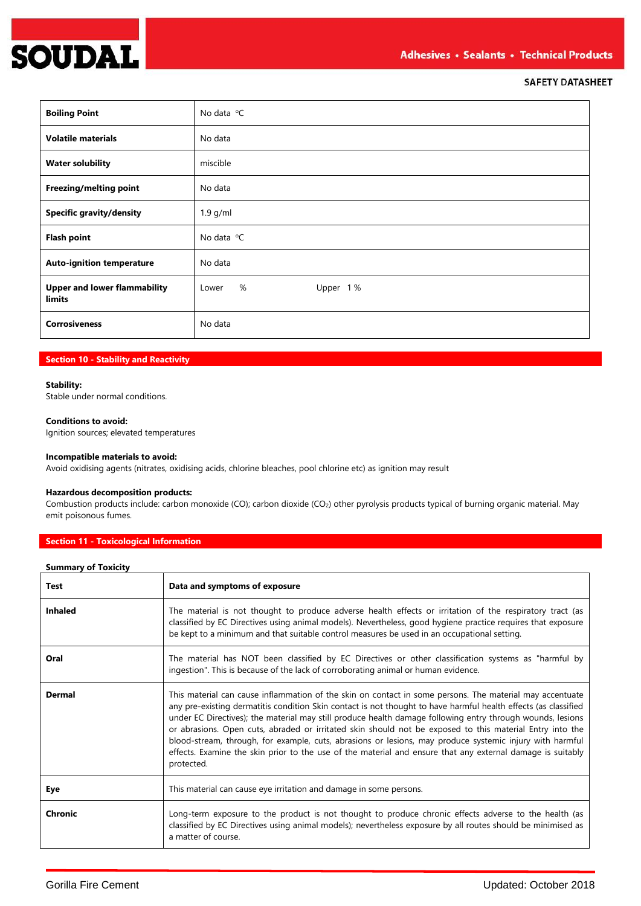

| <b>Boiling Point</b>                                 | No data $^{\circ}$ C   |
|------------------------------------------------------|------------------------|
| <b>Volatile materials</b>                            | No data                |
| <b>Water solubility</b>                              | miscible               |
| Freezing/melting point                               | No data                |
| <b>Specific gravity/density</b>                      | $1.9$ g/ml             |
| <b>Flash point</b>                                   | No data $^{\circ}$ C   |
| <b>Auto-ignition temperature</b>                     | No data                |
| <b>Upper and lower flammability</b><br><b>limits</b> | %<br>Upper 1%<br>Lower |
| <b>Corrosiveness</b>                                 | No data                |

### **Section 10 - Stability and Reactivity**

# **Stability:**

Stable under normal conditions.

# **Conditions to avoid:**

Ignition sources; elevated temperatures

# **Incompatible materials to avoid:**

Avoid oxidising agents (nitrates, oxidising acids, chlorine bleaches, pool chlorine etc) as ignition may result

### **Hazardous decomposition products:**

Combustion products include: carbon monoxide (CO); carbon dioxide (CO<sub>2</sub>) other pyrolysis products typical of burning organic material. May emit poisonous fumes.

# **Section 11 - Toxicological Information**

| <b>Summary of Toxicity</b> |                                                                                                                                                                                                                                                                                                                                                                                                                                                                                                                                                                                                                                                                                               |
|----------------------------|-----------------------------------------------------------------------------------------------------------------------------------------------------------------------------------------------------------------------------------------------------------------------------------------------------------------------------------------------------------------------------------------------------------------------------------------------------------------------------------------------------------------------------------------------------------------------------------------------------------------------------------------------------------------------------------------------|
| <b>Test</b>                | Data and symptoms of exposure                                                                                                                                                                                                                                                                                                                                                                                                                                                                                                                                                                                                                                                                 |
| <b>Inhaled</b>             | The material is not thought to produce adverse health effects or irritation of the respiratory tract (as<br>classified by EC Directives using animal models). Nevertheless, good hygiene practice requires that exposure<br>be kept to a minimum and that suitable control measures be used in an occupational setting.                                                                                                                                                                                                                                                                                                                                                                       |
| Oral                       | The material has NOT been classified by EC Directives or other classification systems as "harmful by<br>ingestion". This is because of the lack of corroborating animal or human evidence.                                                                                                                                                                                                                                                                                                                                                                                                                                                                                                    |
| <b>Dermal</b>              | This material can cause inflammation of the skin on contact in some persons. The material may accentuate<br>any pre-existing dermatitis condition Skin contact is not thought to have harmful health effects (as classified<br>under EC Directives); the material may still produce health damage following entry through wounds, lesions<br>or abrasions. Open cuts, abraded or irritated skin should not be exposed to this material Entry into the<br>blood-stream, through, for example, cuts, abrasions or lesions, may produce systemic injury with harmful<br>effects. Examine the skin prior to the use of the material and ensure that any external damage is suitably<br>protected. |
| Eye                        | This material can cause eye irritation and damage in some persons.                                                                                                                                                                                                                                                                                                                                                                                                                                                                                                                                                                                                                            |
| Chronic                    | Long-term exposure to the product is not thought to produce chronic effects adverse to the health (as<br>classified by EC Directives using animal models); nevertheless exposure by all routes should be minimised as<br>a matter of course.                                                                                                                                                                                                                                                                                                                                                                                                                                                  |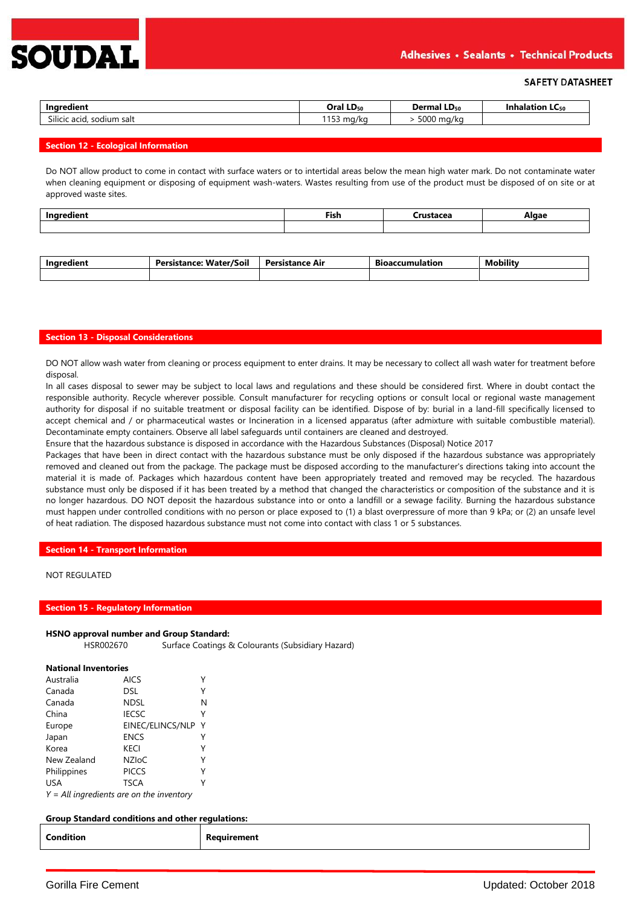

| Ingredient                   | Oral LD <sub>50</sub> | <b>Dermal LD</b> <sub>50</sub> | Inhalation<br><b>LL</b> 50 |
|------------------------------|-----------------------|--------------------------------|----------------------------|
| Silicic acid.<br>sodium salt | 1C2<br>ma/ka<br>ر ر ا | 5000<br>ma/ko                  |                            |

### **Section 12 - Ecological Information**

Do NOT allow product to come in contact with surface waters or to intertidal areas below the mean high water mark. Do not contaminate water when cleaning equipment or disposing of equipment wash-waters. Wastes resulting from use of the product must be disposed of on site or at approved waste sites.

|                  | $- \cdot$ | ----- | Algar |
|------------------|-----------|-------|-------|
| <b>Ingredien</b> | Fish      | tacea | -     |
|                  |           |       |       |

| Inaredient | $\ddot{\phantom{0}}$<br>Water/Soil<br>Persistance: | Persistance Air | <b>Bioaccumulation</b> | $\cdot \cdot \cdot$<br><b>Mobility</b> |
|------------|----------------------------------------------------|-----------------|------------------------|----------------------------------------|
|            |                                                    |                 |                        |                                        |

### **Section 13 - Disposal Considerations**

DO NOT allow wash water from cleaning or process equipment to enter drains. It may be necessary to collect all wash water for treatment before disposal.

In all cases disposal to sewer may be subject to local laws and regulations and these should be considered first. Where in doubt contact the responsible authority. Recycle wherever possible. Consult manufacturer for recycling options or consult local or regional waste management authority for disposal if no suitable treatment or disposal facility can be identified. Dispose of by: burial in a land-fill specifically licensed to accept chemical and / or pharmaceutical wastes or Incineration in a licensed apparatus (after admixture with suitable combustible material). Decontaminate empty containers. Observe all label safeguards until containers are cleaned and destroyed.

Ensure that the hazardous substance is disposed in accordance with the Hazardous Substances (Disposal) Notice 2017

Packages that have been in direct contact with the hazardous substance must be only disposed if the hazardous substance was appropriately removed and cleaned out from the package. The package must be disposed according to the manufacturer's directions taking into account the material it is made of. Packages which hazardous content have been appropriately treated and removed may be recycled. The hazardous substance must only be disposed if it has been treated by a method that changed the characteristics or composition of the substance and it is no longer hazardous. DO NOT deposit the hazardous substance into or onto a landfill or a sewage facility. Burning the hazardous substance must happen under controlled conditions with no person or place exposed to (1) a blast overpressure of more than 9 kPa; or (2) an unsafe level of heat radiation. The disposed hazardous substance must not come into contact with class 1 or 5 substances.

**Section 14 - Transport Information**

# NOT REGULATED

### **Section 15 - Regulatory Information**

#### **HSNO approval number and Group Standard:**

HSR002670 Surface Coatings & Colourants (Subsidiary Hazard)

#### **National Inventories**

| Australia   | <b>AICS</b>      |   |
|-------------|------------------|---|
| Canada      | DSL              |   |
| Canada      | <b>NDSL</b>      | N |
| China       | <b>IECSC</b>     | γ |
| Europe      | EINEC/ELINCS/NLP | Υ |
| Japan       | <b>ENCS</b>      |   |
| Korea       | <b>KECI</b>      | γ |
| New Zealand | <b>NZIoC</b>     | γ |
| Philippines | <b>PICCS</b>     | γ |
| <b>USA</b>  | <b>TSCA</b>      |   |
|             |                  |   |

*Y = All ingredients are on the inventory*

### **Group Standard conditions and other regulations:**

| Condition | Reauirement |
|-----------|-------------|
|-----------|-------------|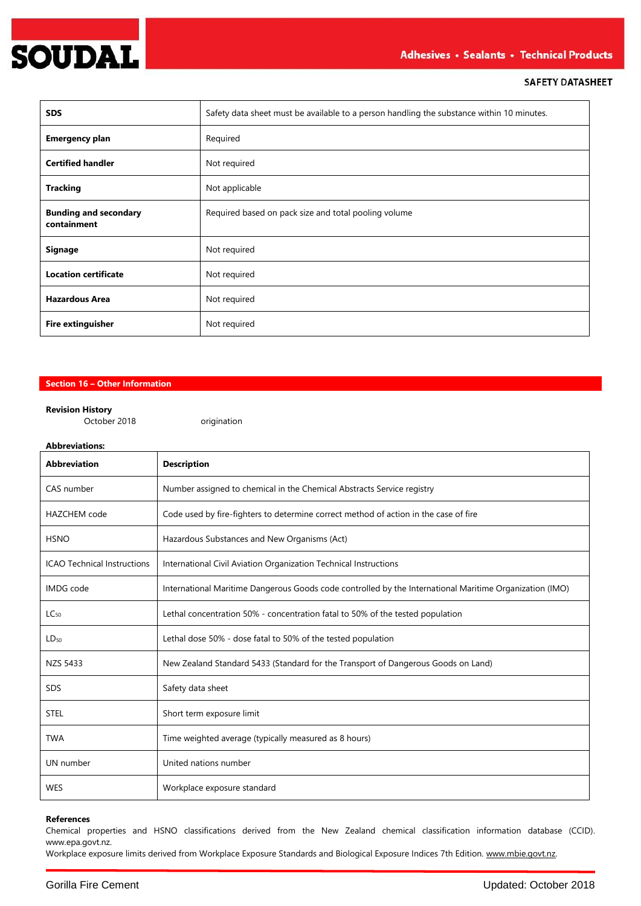

| <b>SDS</b>                                  | Safety data sheet must be available to a person handling the substance within 10 minutes. |  |
|---------------------------------------------|-------------------------------------------------------------------------------------------|--|
| <b>Emergency plan</b>                       | Required                                                                                  |  |
| <b>Certified handler</b>                    | Not required                                                                              |  |
| <b>Tracking</b>                             | Not applicable                                                                            |  |
| <b>Bunding and secondary</b><br>containment | Required based on pack size and total pooling volume                                      |  |
| <b>Signage</b>                              | Not required                                                                              |  |
| <b>Location certificate</b>                 | Not required                                                                              |  |
| <b>Hazardous Area</b>                       | Not required                                                                              |  |
| <b>Fire extinguisher</b>                    | Not required                                                                              |  |

# **Section 16 – Other Information**

### **Revision History**

October 2018 **origination** 

# **Abbreviations:**

| <b>Abbreviation</b>                | <b>Description</b>                                                                                      |  |
|------------------------------------|---------------------------------------------------------------------------------------------------------|--|
| CAS number                         | Number assigned to chemical in the Chemical Abstracts Service registry                                  |  |
| <b>HAZCHEM</b> code                | Code used by fire-fighters to determine correct method of action in the case of fire                    |  |
| <b>HSNO</b>                        | Hazardous Substances and New Organisms (Act)                                                            |  |
| <b>ICAO Technical Instructions</b> | International Civil Aviation Organization Technical Instructions                                        |  |
| <b>IMDG</b> code                   | International Maritime Dangerous Goods code controlled by the International Maritime Organization (IMO) |  |
| $LC_{50}$                          | Lethal concentration 50% - concentration fatal to 50% of the tested population                          |  |
| $LD_{50}$                          | Lethal dose 50% - dose fatal to 50% of the tested population                                            |  |
| <b>NZS 5433</b>                    | New Zealand Standard 5433 (Standard for the Transport of Dangerous Goods on Land)                       |  |
| <b>SDS</b>                         | Safety data sheet                                                                                       |  |
| <b>STEL</b>                        | Short term exposure limit                                                                               |  |
| <b>TWA</b>                         | Time weighted average (typically measured as 8 hours)                                                   |  |
| UN number                          | United nations number                                                                                   |  |
| <b>WES</b>                         | Workplace exposure standard                                                                             |  |

### **References**

Chemical properties and HSNO classifications derived from the New Zealand chemical classification information database (CCID). www.epa.govt.nz.

Workplace exposure limits derived from Workplace Exposure Standards and Biological Exposure Indices 7th Edition[. www.mbie.govt.nz.](http://www.mbie.govt.nz/)